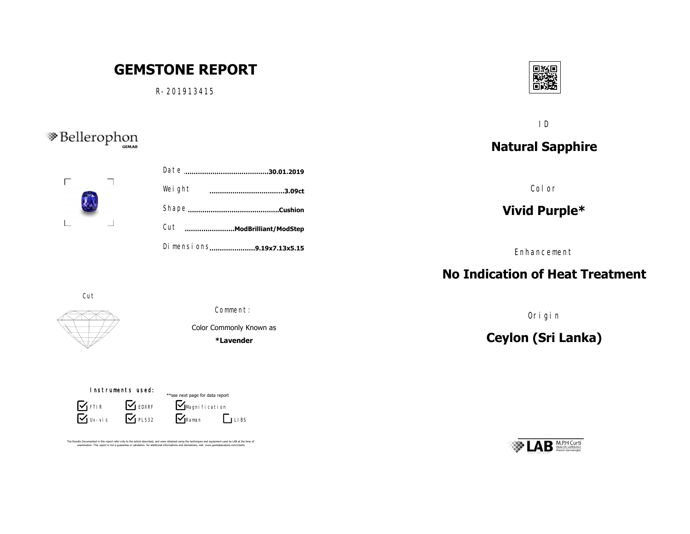# **GEMSTONE REPORT**

R-201913415



ID

# **Natural Sapphire**

Color

## **Vivid Purple\***

Enhancement

#### **No Indication of Heat Treatment**

Origin

# **Ceylon (Sri Lanka)**



# <sup>S</sup>Bellerophon



| <br>.3.09ct                | Weight |  |
|----------------------------|--------|--|
|                            |        |  |
| Cut ModBrilliant/ModStep   |        |  |
| Di mensi ons9.19x7.13x5.15 |        |  |

Cut



Comment:

Color Commonly Known as

**\*Lavender**

Instruments used:

Uv-vis **S** FTIR **S** EDXRF  $\sum$  PL532

 $\nabla$ Raman  $\mathbf{V}_{\text{Magni}$  fi cati on \*\*see next page for data report  $\Box$  LIBS

The Results Documented in this report refer only to the article described, and were obtained using the techniques and equipment used by LAB at the time of<br>examination. This report is not a quarantee or valutation. for addi